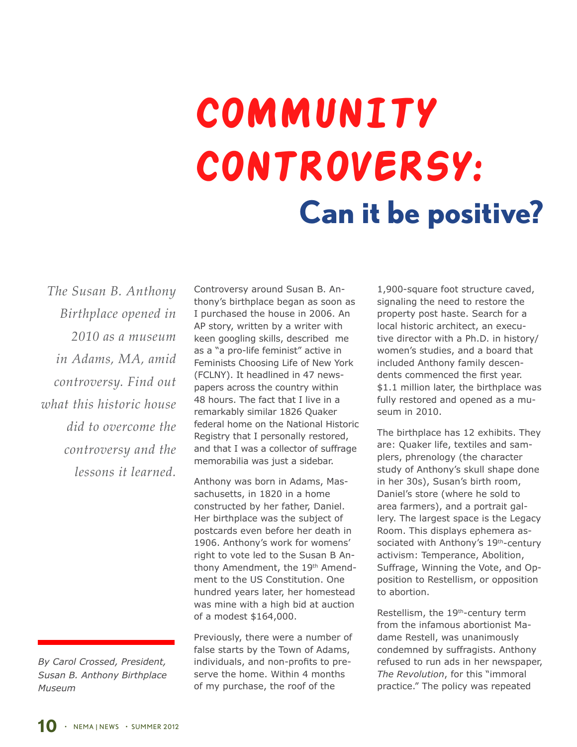## **Community Controversy: Can it be positive?**

*The Susan B. Anthony Birthplace opened in 2010 as a museum in Adams, MA, amid controversy. Find out what this historic house did to overcome the controversy and the lessons it learned.*

*By Carol Crossed, President, Susan B. Anthony Birthplace Museum*

Controversy around Susan B. Anthony's birthplace began as soon as I purchased the house in 2006. An AP story, written by a writer with keen googling skills, described me as a "a pro-life feminist" active in Feminists Choosing Life of New York (FCLNY). It headlined in 47 newspapers across the country within 48 hours. The fact that I live in a remarkably similar 1826 Quaker federal home on the National Historic Registry that I personally restored, and that I was a collector of suffrage memorabilia was just a sidebar.

Anthony was born in Adams, Massachusetts, in 1820 in a home constructed by her father, Daniel. Her birthplace was the subject of postcards even before her death in 1906. Anthony's work for womens' right to vote led to the Susan B Anthony Amendment, the 19<sup>th</sup> Amendment to the US Constitution. One hundred years later, her homestead was mine with a high bid at auction of a modest \$164,000.

Previously, there were a number of false starts by the Town of Adams, individuals, and non-profits to preserve the home. Within 4 months of my purchase, the roof of the

1,900-square foot structure caved, signaling the need to restore the property post haste. Search for a local historic architect, an executive director with a Ph.D. in history/ women's studies, and a board that included Anthony family descendents commenced the first year. \$1.1 million later, the birthplace was fully restored and opened as a museum in 2010.

The birthplace has 12 exhibits. They are: Quaker life, textiles and samplers, phrenology (the character study of Anthony's skull shape done in her 30s), Susan's birth room, Daniel's store (where he sold to area farmers), and a portrait gallery. The largest space is the Legacy Room. This displays ephemera associated with Anthony's 19<sup>th</sup>-century activism: Temperance, Abolition, Suffrage, Winning the Vote, and Opposition to Restellism, or opposition to abortion.

Restellism, the 19th-century term from the infamous abortionist Madame Restell, was unanimously condemned by suffragists. Anthony refused to run ads in her newspaper, *The Revolution*, for this "immoral practice." The policy was repeated